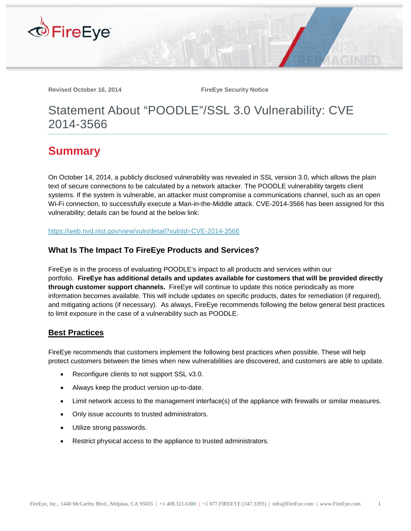

**Revised October 16, 2014 FireEye Security Notice** 

# Statement About "POODLE"/SSL 3.0 Vulnerability: CVE 2014-3566

## **Summary**

On October 14, 2014, a publicly disclosed vulnerability was revealed in SSL version 3.0, which allows the plain text of secure connections to be calculated by a network attacker. The POODLE vulnerability targets client systems. If the system is vulnerable, an attacker must compromise a communications channel, such as an open Wi-Fi connection, to successfully execute a Man-in-the-Middle attack. CVE-2014-3566 has been assigned for this vulnerability; details can be found at the below link:

<https://web.nvd.nist.gov/view/vuln/detail?vulnId=CVE-2014-3566>

### **What Is The Impact To FireEye Products and Services?**

FireEye is in the process of evaluating POODLE's impact to all products and services within our portfolio. **FireEye has additional details and updates available for customers that will be provided directly through customer support channels.** FireEye will continue to update this notice periodically as more information becomes available. This will include updates on specific products, dates for remediation (if required), and mitigating actions (if necessary). As always, FireEye recommends following the below general best practices to limit exposure in the case of a vulnerability such as POODLE.

#### **Best Practices**

FireEye recommends that customers implement the following best practices when possible. These will help protect customers between the times when new vulnerabilities are discovered, and customers are able to update.

- Reconfigure clients to not support SSL v3.0.
- Always keep the product version up-to-date.
- Limit network access to the management interface(s) of the appliance with firewalls or similar measures.
- Only issue accounts to trusted administrators.
- Utilize strong passwords.
- Restrict physical access to the appliance to trusted administrators.